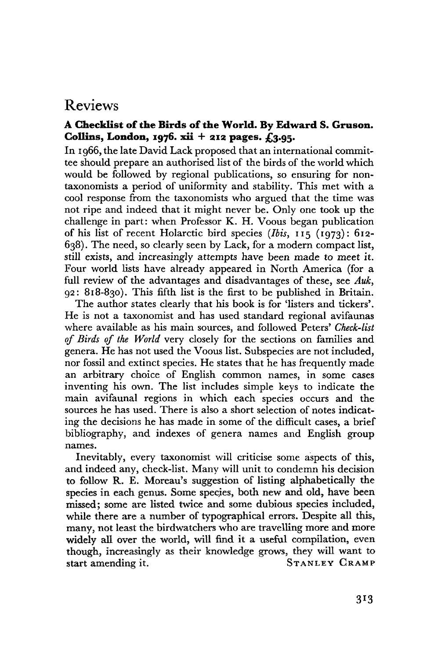## Reviews

## **A Checklist of the Birds of the World. By Edward S. Gruson. Collins, London, 1976. xii + 212 pages. £3.95.**

In 1966, the late David Lack proposed that an international committee should prepare an authorised list of the birds of the world which would be followed by regional publications, so ensuring for nontaxonomists a period of uniformity and stability. This met with a cool response from the taxonomists who argued that the time was not ripe and indeed that it might never be. Only one took up the challenge in part: when Professor K. H. Voous began publication of his list of recent Holarctic bird species *(Ibis,* 115 (1973): 612- 638). The need, so clearly seen by Lack, for a modern compact list, still exists, and increasingly attempts have been made to meet it. Four world lists have already appeared in North America (for a full review of the advantages and disadvantages of these, see *Auk,*  92: 818-830). This fifth list is the first to be published in Britain.

The author states clearly that his book is for 'listers and tickers'. He is not a taxonomist and has used standard regional avifaunas where available as his main sources, and followed Peters' *Check-list of Birds of the World* very closely for the sections on families and genera. He has not used the Voous list. Subspecies are not included, nor fossil and extinct species. He states that he has frequently made an arbitrary choice of English common names, in some cases inventing his own. The list includes simple keys to indicate the main avifaunal regions in which each species occurs and the sources he has used. There is also a short selection of notes indicating the decisions he has made in some of the difficult cases, a brief bibliography, and indexes of genera names and English group names.

Inevitably, every taxonomist will criticise some aspects of this, and indeed any, check-list. Many will unit to condemn his decision to follow R. E. Moreau's suggestion of listing alphabetically the species in each genus. Some species, both new and old, have been missed; some are listed twice and some dubious species included, while there are a number of typographical errors. Despite all this, many, not least the birdwatchers who are travelling more and more widely all over the world, will find it a useful compilation, even though, increasingly as their knowledge grows, they will want to start amending it. STANLEY CRAMP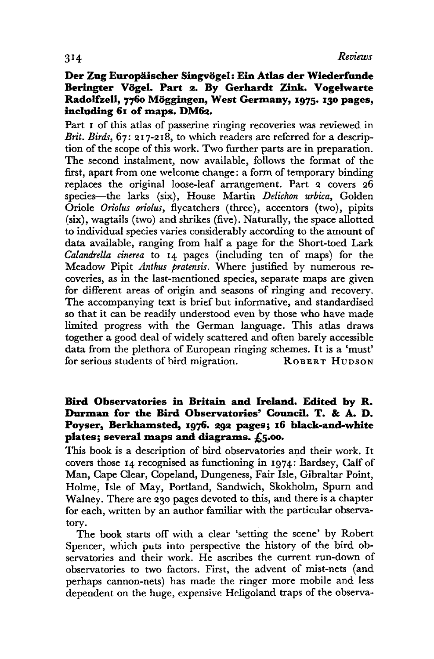## Der Zug Europäischer Singvögel: Ein Atlas der Wiederfunde Beringter Vögel. Part 2. By Gerhardt Zink. Vogelwarte **Radolfzell, 7760 Moggingen, West Germany, 1975. 130 pages, including 61 of maps. DM62.**

Part 1 of this atlas of passerine ringing recoveries was reviewed in *Brit. Birds,* 67: 217-218, to which readers are referred for a description of the scope of this work. Two further parts are in preparation. The second instalment, now available, follows the format of the first, apart from one welcome change: a form of temporary binding replaces the original loose-leaf arrangement. Part 2 covers 26 species—the larks (six), House Martin *Delickon urbica,* Golden Oriole *Oriolus oriolus,* flycatchers (three), accentors (two), pipits (six), wagtails (two) and shrikes (five). Naturally, the space allotted to individual species varies considerably according to the amount of data available, ranging from half a page for the Short-toed Lark *Calandrella cinerea* to 14 pages (including ten of maps) for the Meadow Pipit *Anthus pratensis.* Where justified by numerous recoveries, as in the last-mentioned species, separate maps are given for different areas of origin and seasons of ringing and recovery. The accompanying text is brief but informative, and standardised so that it can be readily understood even by those who have made limited progress with the German language. This atlas draws together a good deal of widely scattered and often barely accessible data from the plethora of European ringing schemes. It is a 'must' for serious students of bird migration. ROBERT HUDSON

## **Bird Observatories in Britain and Ireland. Edited by R. Durman for the Bird Observatories' Council. T. & A. D. Poyser, Berkhamsted, 1976. 293 pages; 16 black-and-white plates 1 several maps and diagrams. £5.00.**

This book is a description of bird observatories and their work. It covers those 14 recognised as functioning in 1974: Bardsey, Calf of Man, Cape Clear, Copeland, Dungeness, Fair Isle, Gibraltar Point, Holme, Isle of May, Portland, Sandwich, Skokholm, Spurn and Walney. There are 230 pages devoted to this, and there is a chapter for each, written by an author familiar with the particular observatory.

The book starts off with a clear 'setting the scene' by Robert Spencer, which puts into perspective the history of the bird observatories and their work. He ascribes the current run-down of observatories to two factors. First, the advent of mist-nets (and perhaps cannon-nets) has made the ringer more mobile and less dependent on the huge, expensive Heligoland traps of the observa